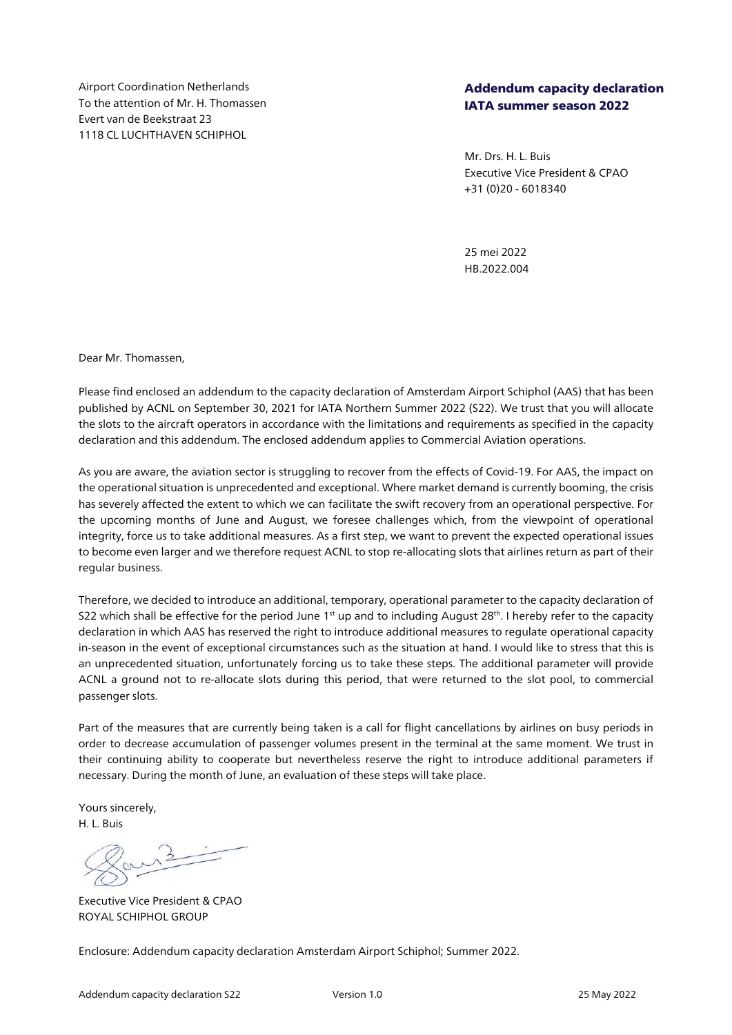Airport Coordination Netherlands To the attention of Mr. H. Thomassen Evert van de Beekstraat 23 1118 CL LUCHTHAVEN SCHIPHOL

## Addendum capacity declaration IATA summer season 2022

Mr. Drs. H. L. Buis Executive Vice President & CPAO +31 (0)20 - 6018340

25 mei 2022 HB.2022.004

Dear Mr. Thomassen,

Please find enclosed an addendum to the capacity declaration of Amsterdam Airport Schiphol (AAS) that has been published by ACNL on September 30, 2021 for IATA Northern Summer 2022 (S22). We trust that you will allocate the slots to the aircraft operators in accordance with the limitations and requirements as specified in the capacity declaration and this addendum. The enclosed addendum applies to Commercial Aviation operations.

As you are aware, the aviation sector is struggling to recover from the effects of Covid-19. For AAS, the impact on the operational situation is unprecedented and exceptional. Where market demand is currently booming, the crisis has severely affected the extent to which we can facilitate the swift recovery from an operational perspective. For the upcoming months of June and August, we foresee challenges which, from the viewpoint of operational integrity, force us to take additional measures. As a first step, we want to prevent the expected operational issues to become even larger and we therefore request ACNL to stop re-allocating slots that airlines return as part of their regular business.

Therefore, we decided to introduce an additional, temporary, operational parameter to the capacity declaration of S22 which shall be effective for the period June 1st up and to including August 28th. I hereby refer to the capacity declaration in which AAS has reserved the right to introduce additional measures to regulate operational capacity in-season in the event of exceptional circumstances such as the situation at hand. I would like to stress that this is an unprecedented situation, unfortunately forcing us to take these steps. The additional parameter will provide ACNL a ground not to re-allocate slots during this period, that were returned to the slot pool, to commercial passenger slots.

Part of the measures that are currently being taken is a call for flight cancellations by airlines on busy periods in order to decrease accumulation of passenger volumes present in the terminal at the same moment. We trust in their continuing ability to cooperate but nevertheless reserve the right to introduce additional parameters if necessary. During the month of June, an evaluation of these steps will take place.

Yours sincerely, H. L. Buis

Executive Vice President & CPAO ROYAL SCHIPHOL GROUP

Enclosure: Addendum capacity declaration Amsterdam Airport Schiphol; Summer 2022.